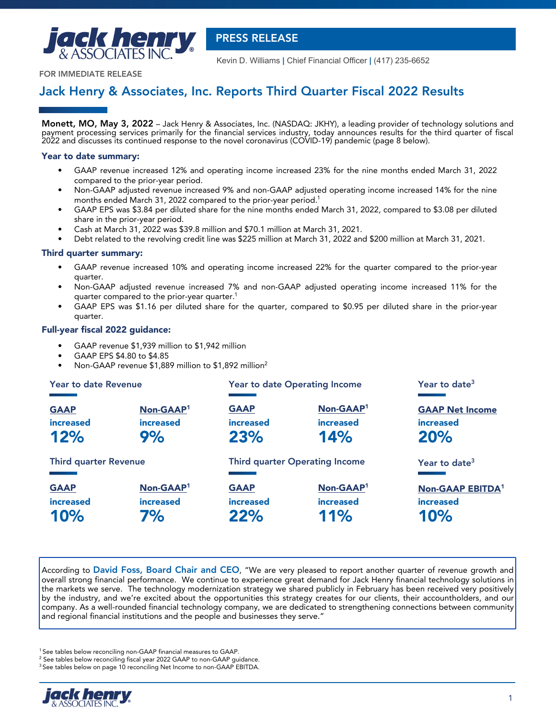

 **PRESS RELEASE**

Kevin D. Williams **|** Chief Financial Officer **|** (417) 235-6652

**FOR IMMEDIATE RELEASE**

# **Jack Henry & Associates, Inc. Reports Third Quarter Fiscal 2022 Results**

**Monett, MO, May 3, 2022** – Jack Henry & Associates, Inc. (NASDAQ: JKHY), a leading provider of technology solutions and payment processing services primarily for the financial services industry, today announces results for the third quarter of fiscal 2022 and discusses its continued response to the novel coronavirus (COVID-19) pandemic (page 8 below).

### **Year to date summary:**

- GAAP revenue increased 12% and operating income increased 23% for the nine months ended March 31, 2022 compared to the prior-year period.
- Non-GAAP adjusted revenue increased 9% and non-GAAP adjusted operating income increased 14% for the nine months ended March 31, 2022 compared to the prior-year period.<sup>1</sup>
- GAAP EPS was \$3.84 per diluted share for the nine months ended March 31, 2022, compared to \$3.08 per diluted share in the prior-year period.
- Cash at March 31, 2022 was \$39.8 million and \$70.1 million at March 31, 2021.
- Debt related to the revolving credit line was \$225 million at March 31, 2022 and \$200 million at March 31, 2021.

### **Third quarter summary:**

- **•** GAAP revenue increased 10% and operating income increased 22% for the quarter compared to the prior-year quarter.
- Non-GAAP adjusted revenue increased 7% and non-GAAP adjusted operating income increased 11% for the quarter compared to the prior-year quarter.<sup>1</sup>
- GAAP EPS was \$1.16 per diluted share for the quarter, compared to \$0.95 per diluted share in the prior-year quarter.

### **Full-year fiscal 2022 guidance:**

- GAAP revenue \$1,939 million to \$1,942 million
- GAAP EPS \$4.80 to \$4.85
- Non-GAAP revenue \$1,889 million to \$1,892 million<sup>2</sup>

| Year to date Revenue         |                       |                  | <b>Year to date Operating Income</b>  | Year to date <sup>3</sup>    |
|------------------------------|-----------------------|------------------|---------------------------------------|------------------------------|
| <b>GAAP</b>                  | Non-GAAP <sup>1</sup> | <b>GAAP</b>      | Non-GAAP <sup>1</sup>                 | <b>GAAP Net Income</b>       |
| <b>increased</b>             | <b>increased</b>      | <b>increased</b> | <b>increased</b>                      | <b>increased</b>             |
| 12%                          | 9%                    | 23%              | 14%                                   | 20%                          |
| <b>Third quarter Revenue</b> |                       |                  | <b>Third quarter Operating Income</b> | Year to date <sup>3</sup>    |
| <b>GAAP</b>                  | Non-GAAP <sup>1</sup> | <b>GAAP</b>      | Non-GAAP <sup>1</sup>                 | Non-GAAP EBITDA <sup>1</sup> |
| increased                    | <b>increased</b>      | <b>increased</b> | <b>increased</b>                      | <b>increased</b>             |
| 10%                          | 7%                    | 22%              | 11%                                   | 10%                          |

According to **David Foss, Board Chair and CEO**, "We are very pleased to report another quarter of revenue growth and overall strong financial performance. We continue to experience great demand for Jack Henry financial technology solutions in the markets we serve. The technology modernization strategy we shared publicly in February has been received very positively by the industry, and we're excited about the opportunities this strategy creates for our clients, their accountholders, and our company. As a well-rounded financial technology company, we are dedicated to strengthening connections between community and regional financial institutions and the people and businesses they serve."

<sup>1</sup> See tables below reconciling non-GAAP financial measures to GAAP.

 $2$  See tables below reconciling fiscal year 2022 GAAP to non-GAAP guidance.

<sup>&</sup>lt;sup>3</sup> See tables below on page 10 reconciling Net Income to non-GAAP EBITDA.

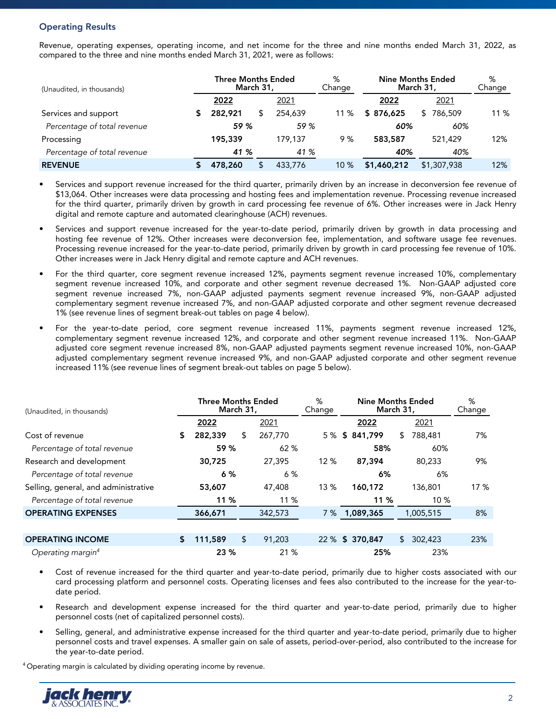# **Operating Results**

Revenue, operating expenses, operating income, and net income for the three and nine months ended March 31, 2022, as compared to the three and nine months ended March 31, 2021, were as follows:

| (Unaudited, in thousands)   |  | <b>Three Months Ended</b><br>March 31, |         | %<br>Change |             | <b>Nine Months Ended</b><br>March 31, |      |  |  |
|-----------------------------|--|----------------------------------------|---------|-------------|-------------|---------------------------------------|------|--|--|
|                             |  | 2022                                   | 2021    |             | 2022        | 2021                                  |      |  |  |
| Services and support        |  | 282,921                                | 254,639 | $11\%$      | \$876,625   | 786,509                               | 11 % |  |  |
| Percentage of total revenue |  | 59 %                                   | 59 %    |             | 60%         | 60%                                   |      |  |  |
| Processing                  |  | 195,339                                | 179.137 | 9 %         | 583,587     | 521,429                               | 12%  |  |  |
| Percentage of total revenue |  | 41 %                                   | 41 %    |             | 40%         | 40%                                   |      |  |  |
| <b>REVENUE</b>              |  | 478,260                                | 433,776 | 10%         | \$1,460,212 | \$1,307,938                           | 12%  |  |  |

- Services and support revenue increased for the third quarter, primarily driven by an increase in deconversion fee revenue of \$13,064. Other increases were data processing and hosting fees and implementation revenue. Processing revenue increased for the third quarter, primarily driven by growth in card processing fee revenue of 6%. Other increases were in Jack Henry digital and remote capture and automated clearinghouse (ACH) revenues.
- Services and support revenue increased for the year-to-date period, primarily driven by growth in data processing and hosting fee revenue of 12%. Other increases were deconversion fee, implementation, and software usage fee revenues. Processing revenue increased for the year-to-date period, primarily driven by growth in card processing fee revenue of 10%. Other increases were in Jack Henry digital and remote capture and ACH revenues.
- For the third quarter, core segment revenue increased 12%, payments segment revenue increased 10%, complementary segment revenue increased 10%, and corporate and other segment revenue decreased 1%. Non-GAAP adjusted core segment revenue increased 7%, non-GAAP adjusted payments segment revenue increased 9%, non-GAAP adjusted complementary segment revenue increased 7%, and non-GAAP adjusted corporate and other segment revenue decreased 1% (see revenue lines of segment break-out tables on page 4 below).
- For the year-to-date period, core segment revenue increased 11%, payments segment revenue increased 12%, complementary segment revenue increased 12%, and corporate and other segment revenue increased 11%. Non-GAAP adjusted core segment revenue increased 8%, non-GAAP adjusted payments segment revenue increased 10%, non-GAAP adjusted complementary segment revenue increased 9%, and non-GAAP adjusted corporate and other segment revenue increased 11% (see revenue lines of segment break-out tables on page 5 below).

| (Unaudited, in thousands)            |                     | <b>Three Months Ended</b><br>March 31, |     |         | %<br>Change |        | <b>Nine Months Ended</b><br>March 31, | %<br>Change |           |     |
|--------------------------------------|---------------------|----------------------------------------|-----|---------|-------------|--------|---------------------------------------|-------------|-----------|-----|
|                                      |                     | 2022                                   |     | 2021    |             |        | 2022                                  |             | 2021      |     |
| Cost of revenue                      | 5                   | 282,339                                | S   | 267,770 |             |        | 5 % \$ 841,799                        | S.          | 788,481   | 7%  |
| Percentage of total revenue          |                     | 59 %                                   |     | 62%     |             |        | 58%                                   |             | 60%       |     |
| Research and development             |                     | 30,725<br>27,395                       |     | 12%     |             | 87,394 |                                       | 80,233      | 9%        |     |
| Percentage of total revenue          |                     | 6%<br>6 %                              |     |         | 6%          |        |                                       | 6%          |           |     |
| Selling, general, and administrative |                     | 53,607                                 |     | 47,408  | 13 %        |        | 160,172                               |             | 136,801   | 17% |
| Percentage of total revenue          |                     | 11 %                                   |     | 11 %    |             |        | 11 %                                  |             | 10%       |     |
| <b>OPERATING EXPENSES</b>            |                     | 366,671                                |     | 342,573 |             |        | 7 % 1,089,365                         |             | 1,005,515 | 8%  |
|                                      |                     |                                        |     |         |             |        |                                       |             |           |     |
| <b>OPERATING INCOME</b>              | \$                  | 111,589                                | \$  | 91,203  |             |        | 22 % \$ 370,847                       | \$          | 302,423   | 23% |
| Operating margin <sup>4</sup>        | 23 %<br>21 %<br>25% |                                        | 23% |         |             |        |                                       |             |           |     |

- Cost of revenue increased for the third quarter and year-to-date period, primarily due to higher costs associated with our card processing platform and personnel costs. Operating licenses and fees also contributed to the increase for the year-todate period.
- Research and development expense increased for the third quarter and year-to-date period, primarily due to higher personnel costs (net of capitalized personnel costs).
- Selling, general, and administrative expense increased for the third quarter and year-to-date period, primarily due to higher personnel costs and travel expenses. A smaller gain on sale of assets, period-over-period, also contributed to the increase for the year-to-date period.

<sup>4</sup> Operating margin is calculated by dividing operating income by revenue.

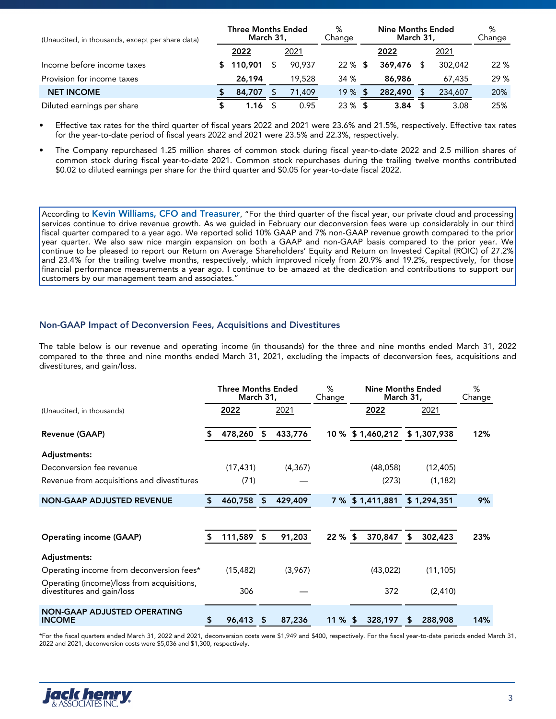| (Unaudited, in thousands, except per share data) |  | <b>Three Months Ended</b><br>March 31, |        | %<br>Change |      | Nine Months Ended<br>March 31, | %<br>Change |         |      |
|--------------------------------------------------|--|----------------------------------------|--------|-------------|------|--------------------------------|-------------|---------|------|
|                                                  |  | 2022                                   | 2021   |             |      | 2022                           |             | 2021    |      |
| Income before income taxes                       |  | 110,901                                | 90.937 | 22 %        | - 5  | 369,476                        | S           | 302,042 | 22 % |
| Provision for income taxes                       |  | 26,194                                 | 19,528 | 34 %        |      | 86,986                         |             | 67,435  | 29%  |
| <b>NET INCOME</b>                                |  | 84,707                                 | 71,409 | 19%         | -56  | 282,490                        |             | 234,607 | 20%  |
| Diluted earnings per share                       |  | 1.16                                   | 0.95   | 23%         | - 56 | 3.84                           |             | 3.08    | 25%  |

• Effective tax rates for the third quarter of fiscal years 2022 and 2021 were 23.6% and 21.5%, respectively. Effective tax rates for the year-to-date period of fiscal years 2022 and 2021 were 23.5% and 22.3%, respectively.

• The Company repurchased 1.25 million shares of common stock during fiscal year-to-date 2022 and 2.5 million shares of common stock during fiscal year-to-date 2021. Common stock repurchases during the trailing twelve months contributed \$0.02 to diluted earnings per share for the third quarter and \$0.05 for year-to-date fiscal 2022.

According to **Kevin Williams, CFO and Treasurer**, "For the third quarter of the fiscal year, our private cloud and processing services continue to drive revenue growth. As we guided in February our deconversion fees were up considerably in our third fiscal quarter compared to a year ago. We reported solid 10% GAAP and 7% non-GAAP revenue growth compared to the prior year quarter. We also saw nice margin expansion on both a GAAP and non-GAAP basis compared to the prior year. We continue to be pleased to report our Return on Average Shareholders' Equity and Return on Invested Capital (ROIC) of 27.2% and 23.4% for the trailing twelve months, respectively, which improved nicely from 20.9% and 19.2%, respectively, for those financial performance measurements a year ago. I continue to be amazed at the dedication and contributions to support our customers by our management team and associates."

# **Non-GAAP Impact of Deconversion Fees, Acquisitions and Divestitures**

The table below is our revenue and operating income (in thousands) for the three and nine months ended March 31, 2022 compared to the three and nine months ended March 31, 2021, excluding the impacts of deconversion fees, acquisitions and divestitures, and gain/loss.

|                                                                          | <b>Three Months Ended</b><br>March 31, |    |          | %<br>Change | <b>Nine Months Ended</b><br>March 31, |      |             | %<br>Change |
|--------------------------------------------------------------------------|----------------------------------------|----|----------|-------------|---------------------------------------|------|-------------|-------------|
| (Unaudited, in thousands)                                                | 2022                                   |    | 2021     |             | 2022                                  | 2021 |             |             |
| Revenue (GAAP)                                                           | 478,260                                | \$ | 433,776  | 10 %        | \$1,460,212                           |      | \$1,307,938 | 12%         |
| Adjustments:                                                             |                                        |    |          |             |                                       |      |             |             |
| Deconversion fee revenue                                                 | (17, 431)                              |    | (4, 367) |             | (48,058)                              |      | (12, 405)   |             |
| Revenue from acquisitions and divestitures                               | (71)                                   |    |          |             | (273)                                 |      | (1, 182)    |             |
| <b>NON-GAAP ADJUSTED REVENUE</b>                                         | 460,758                                | \$ | 429,409  |             | 7 % \$ 1,411,881                      |      | \$1,294,351 | 9%          |
| <b>Operating income (GAAP)</b>                                           | 111,589 \$                             |    | 91,203   | $22 \%$ \$  | 370,847                               | \$   | 302,423     | 23%         |
| Adjustments:                                                             |                                        |    |          |             |                                       |      |             |             |
| Operating income from deconversion fees*                                 | (15, 482)                              |    | (3,967)  |             | (43, 022)                             |      | (11, 105)   |             |
| Operating (income)/loss from acquisitions,<br>divestitures and gain/loss | 306                                    |    |          |             | 372                                   |      | (2, 410)    |             |
| <b>NON-GAAP ADJUSTED OPERATING</b><br><b>INCOME</b>                      | \$<br>96,413 \$                        |    | 87,236   | $11\%$ \$   | 328,197                               | \$   | 288,908     | 14%         |

\*For the fiscal quarters ended March 31, 2022 and 2021, deconversion costs were \$1,949 and \$400, respectively. For the fiscal year-to-date periods ended March 31, 2022 and 2021, deconversion costs were \$5,036 and \$1,300, respectively.

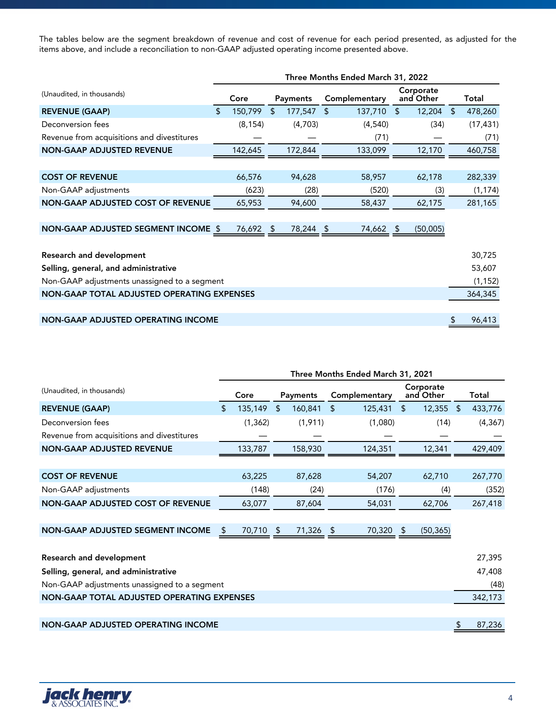The tables below are the segment breakdown of revenue and cost of revenue for each period presented, as adjusted for the items above, and include a reconciliation to non-GAAP adjusted operating income presented above.

|                                              | Three Months Ended March 31, 2022 |          |                |           |    |               |    |                        |    |           |  |
|----------------------------------------------|-----------------------------------|----------|----------------|-----------|----|---------------|----|------------------------|----|-----------|--|
| (Unaudited, in thousands)                    |                                   | Core     |                | Payments  |    | Complementary |    | Corporate<br>and Other |    | Total     |  |
| <b>REVENUE (GAAP)</b>                        | $\mathcal{L}$                     | 150,799  | $\mathfrak{L}$ | 177,547   | \$ | 137,710       | \$ | $12,204$ \$            |    | 478,260   |  |
| Deconversion fees                            |                                   | (8, 154) |                | (4,703)   |    | (4,540)       |    | (34)                   |    | (17, 431) |  |
| Revenue from acquisitions and divestitures   |                                   |          |                |           |    | (71)          |    |                        |    | (71)      |  |
| <b>NON-GAAP ADJUSTED REVENUE</b>             |                                   | 142,645  |                | 172,844   |    | 133,099       |    | 12,170                 |    | 460,758   |  |
|                                              |                                   |          |                |           |    |               |    |                        |    |           |  |
| <b>COST OF REVENUE</b>                       |                                   | 66,576   |                | 94,628    |    | 58,957        |    | 62,178                 |    | 282,339   |  |
| Non-GAAP adjustments                         |                                   | (623)    |                | (28)      |    | (520)         |    | (3)                    |    | (1, 174)  |  |
| <b>NON-GAAP ADJUSTED COST OF REVENUE</b>     |                                   | 65,953   |                | 94,600    |    | 58,437        |    | 62,175                 |    | 281,165   |  |
|                                              |                                   |          |                |           |    |               |    |                        |    |           |  |
| NON-GAAP ADJUSTED SEGMENT INCOME \$          |                                   | 76,692   | - \$           | 78,244 \$ |    | 74,662 \$     |    | (50,005)               |    |           |  |
|                                              |                                   |          |                |           |    |               |    |                        |    |           |  |
| Research and development                     |                                   |          |                |           |    |               |    |                        |    | 30,725    |  |
| Selling, general, and administrative         |                                   |          |                |           |    |               |    |                        |    | 53,607    |  |
| Non-GAAP adjustments unassigned to a segment |                                   |          |                |           |    |               |    |                        |    | (1, 152)  |  |
| NON-GAAP TOTAL ADJUSTED OPERATING EXPENSES   |                                   |          |                |           |    |               |    |                        |    | 364,345   |  |
|                                              |                                   |          |                |           |    |               |    |                        |    |           |  |
| <b>NON-GAAP ADJUSTED OPERATING INCOME</b>    |                                   |          |                |           |    |               |    |                        | \$ | 96,413    |  |

|                                              | Three Months Ended March 31, 2021 |           |    |           |    |               |    |                        |  |          |  |
|----------------------------------------------|-----------------------------------|-----------|----|-----------|----|---------------|----|------------------------|--|----------|--|
| (Unaudited, in thousands)                    |                                   | Core      |    | Payments  |    | Complementary |    | Corporate<br>and Other |  | Total    |  |
| <b>REVENUE (GAAP)</b>                        | \$                                | 135,149   | \$ | 160,841   | \$ | 125,431       | \$ | $12,355$ \$            |  | 433,776  |  |
| Deconversion fees                            |                                   | (1, 362)  |    | (1,911)   |    | (1,080)       |    | (14)                   |  | (4, 367) |  |
| Revenue from acquisitions and divestitures   |                                   |           |    |           |    |               |    |                        |  |          |  |
| <b>NON-GAAP ADJUSTED REVENUE</b>             |                                   | 133,787   |    | 158,930   |    | 124,351       |    | 12,341                 |  | 429,409  |  |
|                                              |                                   |           |    |           |    |               |    |                        |  |          |  |
| <b>COST OF REVENUE</b>                       |                                   | 63,225    |    | 87,628    |    | 54,207        |    | 62,710                 |  | 267,770  |  |
| Non-GAAP adjustments                         |                                   | (148)     |    | (24)      |    | (176)         |    | (4)                    |  | (352)    |  |
| <b>NON-GAAP ADJUSTED COST OF REVENUE</b>     |                                   | 63,077    |    | 87,604    |    | 54,031        |    | 62,706                 |  | 267,418  |  |
|                                              |                                   |           |    |           |    |               |    |                        |  |          |  |
| NON-GAAP ADJUSTED SEGMENT INCOME             |                                   | 70,710 \$ |    | 71,326 \$ |    | 70,320 \$     |    | (50, 365)              |  |          |  |
|                                              |                                   |           |    |           |    |               |    |                        |  |          |  |
| <b>Research and development</b>              |                                   |           |    |           |    |               |    |                        |  | 27,395   |  |
| Selling, general, and administrative         |                                   |           |    |           |    |               |    |                        |  | 47,408   |  |
| Non-GAAP adjustments unassigned to a segment |                                   |           |    |           |    |               |    |                        |  | (48)     |  |
| NON-GAAP TOTAL ADJUSTED OPERATING EXPENSES   |                                   |           |    |           |    |               |    |                        |  | 342,173  |  |
|                                              |                                   |           |    |           |    |               |    |                        |  |          |  |
| <b>NON-GAAP ADJUSTED OPERATING INCOME</b>    |                                   |           |    |           |    |               |    |                        |  | 87,236   |  |

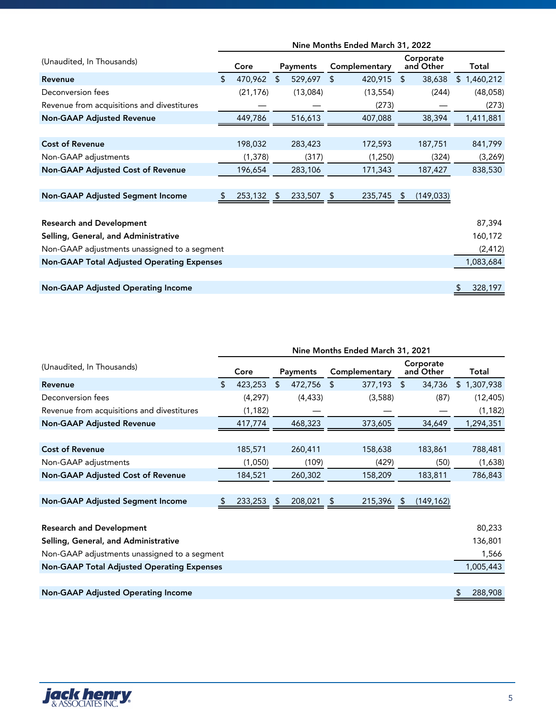|                                                   | Nine Months Ended March 31, 2022 |           |                |          |                |               |                |                        |    |             |
|---------------------------------------------------|----------------------------------|-----------|----------------|----------|----------------|---------------|----------------|------------------------|----|-------------|
| (Unaudited, In Thousands)                         |                                  | Core      |                | Payments |                | Complementary |                | Corporate<br>and Other |    | Total       |
| Revenue                                           | \$                               | 470,962   | $\mathfrak{L}$ | 529,697  | $\mathfrak{L}$ | 420,915       | $\mathfrak{L}$ | 38,638                 |    | \$1,460,212 |
| Deconversion fees                                 |                                  | (21, 176) |                | (13,084) |                | (13, 554)     |                | (244)                  |    | (48,058)    |
| Revenue from acquisitions and divestitures        |                                  |           |                |          |                | (273)         |                |                        |    | (273)       |
| <b>Non-GAAP Adjusted Revenue</b>                  |                                  | 449,786   |                | 516,613  |                | 407,088       |                | 38,394                 |    | 1,411,881   |
|                                                   |                                  |           |                |          |                |               |                |                        |    |             |
| <b>Cost of Revenue</b>                            |                                  | 198,032   |                | 283,423  |                | 172,593       |                | 187,751                |    | 841,799     |
| Non-GAAP adjustments                              |                                  | (1, 378)  |                | (317)    |                | (1,250)       |                | (324)                  |    | (3,269)     |
| Non-GAAP Adjusted Cost of Revenue                 |                                  | 196,654   |                | 283,106  |                | 171,343       |                | 187,427                |    | 838,530     |
|                                                   |                                  |           |                |          |                |               |                |                        |    |             |
| <b>Non-GAAP Adjusted Segment Income</b>           |                                  | 253,132   | \$             | 233,507  |                | 235,745       | \$             | (149, 033)             |    |             |
|                                                   |                                  |           |                |          |                |               |                |                        |    |             |
| <b>Research and Development</b>                   |                                  |           |                |          |                |               |                |                        |    | 87,394      |
| Selling, General, and Administrative              |                                  |           |                |          |                |               |                |                        |    | 160,172     |
| Non-GAAP adjustments unassigned to a segment      |                                  |           |                |          |                |               |                |                        |    | (2, 412)    |
| <b>Non-GAAP Total Adjusted Operating Expenses</b> |                                  |           |                |          |                |               |                |                        |    | 1,083,684   |
|                                                   |                                  |           |                |          |                |               |                |                        |    |             |
| <b>Non-GAAP Adjusted Operating Income</b>         |                                  |           |                |          |                |               |                |                        | \$ | 328,197     |

|                                                   | Nine Months Ended March 31, 2021 |          |                |          |    |               |    |                        |  |             |
|---------------------------------------------------|----------------------------------|----------|----------------|----------|----|---------------|----|------------------------|--|-------------|
| (Unaudited, In Thousands)                         |                                  | Core     |                | Payments |    | Complementary |    | Corporate<br>and Other |  | Total       |
| Revenue                                           | \$                               | 423,253  | $\mathfrak{L}$ | 472,756  | \$ | 377,193       | \$ | 34,736                 |  | \$1,307,938 |
| Deconversion fees                                 |                                  | (4, 297) |                | (4, 433) |    | (3,588)       |    | (87)                   |  | (12, 405)   |
| Revenue from acquisitions and divestitures        |                                  | (1, 182) |                |          |    |               |    |                        |  | (1, 182)    |
| <b>Non-GAAP Adjusted Revenue</b>                  |                                  | 417,774  |                | 468,323  |    | 373,605       |    | 34,649                 |  | 1,294,351   |
|                                                   |                                  |          |                |          |    |               |    |                        |  |             |
| <b>Cost of Revenue</b>                            |                                  | 185,571  |                | 260,411  |    | 158,638       |    | 183,861                |  | 788,481     |
| Non-GAAP adjustments                              |                                  | (1,050)  |                | (109)    |    | (429)         |    | (50)                   |  | (1,638)     |
| <b>Non-GAAP Adjusted Cost of Revenue</b>          |                                  | 184,521  |                | 260,302  |    | 158,209       |    | 183,811                |  | 786,843     |
|                                                   |                                  |          |                |          |    |               |    |                        |  |             |
| <b>Non-GAAP Adjusted Segment Income</b>           |                                  | 233,253  | \$             | 208,021  |    | 215,396       | -S | (149, 162)             |  |             |
|                                                   |                                  |          |                |          |    |               |    |                        |  |             |
| <b>Research and Development</b>                   |                                  |          |                |          |    |               |    |                        |  | 80,233      |
| Selling, General, and Administrative              |                                  |          |                |          |    |               |    |                        |  | 136,801     |
| Non-GAAP adjustments unassigned to a segment      |                                  |          |                |          |    |               |    |                        |  | 1,566       |
| <b>Non-GAAP Total Adjusted Operating Expenses</b> |                                  |          |                |          |    |               |    |                        |  | 1,005,443   |
|                                                   |                                  |          |                |          |    |               |    |                        |  |             |
| <b>Non-GAAP Adjusted Operating Income</b>         |                                  |          |                |          |    |               |    |                        |  | 288,908     |

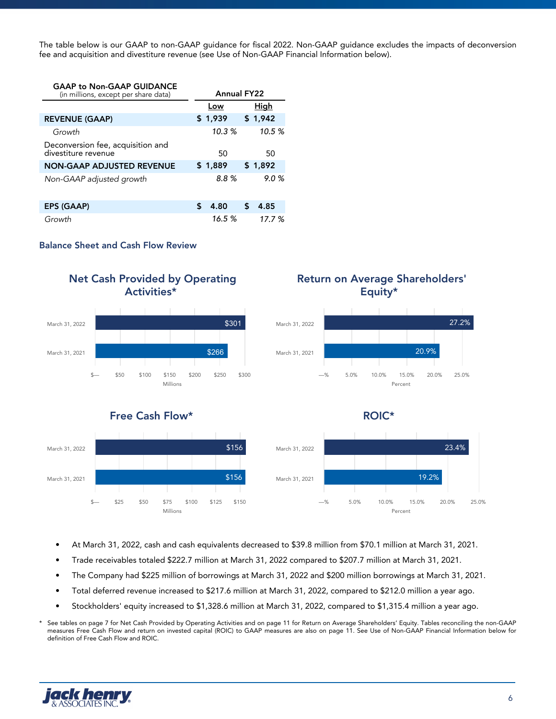The table below is our GAAP to non-GAAP guidance for fiscal 2022. Non-GAAP guidance excludes the impacts of deconversion fee and acquisition and divestiture revenue (see Use of Non-GAAP Financial Information below).

| <b>GAAP to Non-GAAP GUIDANCE</b><br>(in millions, except per share data) | <b>Annual FY22</b> |         |   |         |  |
|--------------------------------------------------------------------------|--------------------|---------|---|---------|--|
|                                                                          |                    | Low     |   | High    |  |
| <b>REVENUE (GAAP)</b>                                                    |                    | \$1,939 |   | \$1,942 |  |
| Growth                                                                   |                    | 10.3%   |   | 10.5%   |  |
| Deconversion fee, acquisition and<br>divestiture revenue                 |                    | 50      |   | 50      |  |
| <b>NON-GAAP ADJUSTED REVENUE</b>                                         |                    | \$1.889 |   | \$1,892 |  |
| Non-GAAP adjusted growth                                                 |                    | 8.8%    |   | 9.0%    |  |
|                                                                          |                    |         |   |         |  |
| <b>EPS (GAAP)</b>                                                        | ፍ                  | 4.80    | S | 4.85    |  |
| Growth                                                                   |                    | 16.5%   |   | 17.7 %  |  |

# **Balance Sheet and Cash Flow Review**



- At March 31, 2022, cash and cash equivalents decreased to \$39.8 million from \$70.1 million at March 31, 2021.
- Trade receivables totaled \$222.7 million at March 31, 2022 compared to \$207.7 million at March 31, 2021.
- The Company had \$225 million of borrowings at March 31, 2022 and \$200 million borrowings at March 31, 2021.
- Total deferred revenue increased to \$217.6 million at March 31, 2022, compared to \$212.0 million a year ago.
- Stockholders' equity increased to \$1,328.6 million at March 31, 2022, compared to \$1,315.4 million a year ago.

See tables on page 7 for Net Cash Provided by Operating Activities and on page 11 for Return on Average Shareholders' Equity. Tables reconciling the non-GAAP measures Free Cash Flow and return on invested capital (ROIC) to GAAP measures are also on page 11. See Use of Non-GAAP Financial Information below for definition of Free Cash Flow and ROIC.

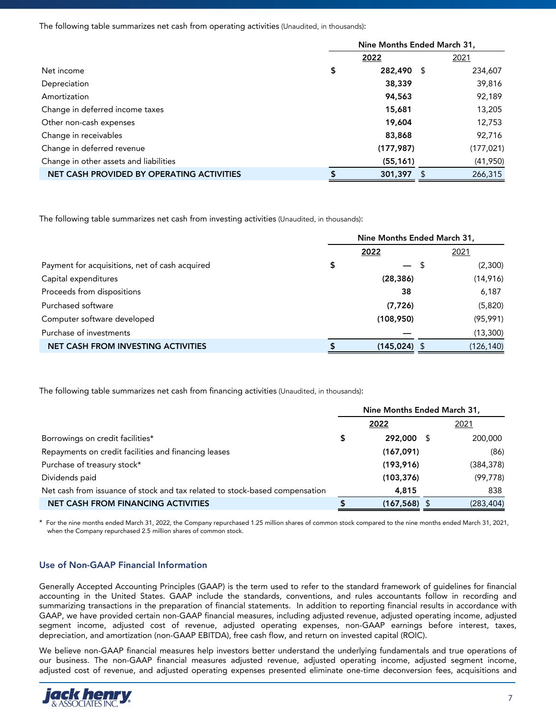The following table summarizes net cash from operating activities (Unaudited, in thousands):

|                                           | Nine Months Ended March 31, |    |            |
|-------------------------------------------|-----------------------------|----|------------|
|                                           | 2022                        |    | 2021       |
| Net income                                | \$<br>282,490               | -S | 234,607    |
| Depreciation                              | 38,339                      |    | 39,816     |
| Amortization                              | 94,563                      |    | 92,189     |
| Change in deferred income taxes           | 15,681                      |    | 13,205     |
| Other non-cash expenses                   | 19,604                      |    | 12,753     |
| Change in receivables                     | 83,868                      |    | 92,716     |
| Change in deferred revenue                | (177, 987)                  |    | (177, 021) |
| Change in other assets and liabilities    | (55, 161)                   |    | (41,950)   |
| NET CASH PROVIDED BY OPERATING ACTIVITIES | 301,397                     | Ъ  | 266,315    |

The following table summarizes net cash from investing activities (Unaudited, in thousands):

|                                                |                 | Nine Months Ended March 31, |
|------------------------------------------------|-----------------|-----------------------------|
|                                                | 2022            | 2021                        |
| Payment for acquisitions, net of cash acquired | \$              | (2,300)                     |
| Capital expenditures                           | (28, 386)       | (14,916)                    |
| Proceeds from dispositions                     | 38              | 6,187                       |
| Purchased software                             | (7, 726)        | (5,820)                     |
| Computer software developed                    | (108,950)       | (95, 991)                   |
| Purchase of investments                        |                 | (13,300)                    |
| <b>NET CASH FROM INVESTING ACTIVITIES</b>      | $(145, 024)$ \$ | (126, 140)                  |

The following table summarizes net cash from financing activities (Unaudited, in thousands):

|                                                                             | Nine Months Ended March 31, |                 |   |            |
|-----------------------------------------------------------------------------|-----------------------------|-----------------|---|------------|
|                                                                             |                             | 2022            |   | 2021       |
| Borrowings on credit facilities*                                            | \$                          | 292,000         | S | 200,000    |
| Repayments on credit facilities and financing leases                        |                             | (167,091)       |   | (86)       |
| Purchase of treasury stock*                                                 |                             | (193, 916)      |   | (384, 378) |
| Dividends paid                                                              |                             | (103, 376)      |   | (99, 778)  |
| Net cash from issuance of stock and tax related to stock-based compensation |                             | 4,815           |   | 838        |
| <b>NET CASH FROM FINANCING ACTIVITIES</b>                                   |                             | $(167, 568)$ \$ |   | (283, 404) |

\* For the nine months ended March 31, 2022, the Company repurchased 1.25 million shares of common stock compared to the nine months ended March 31, 2021, when the Company repurchased 2.5 million shares of common stock.

# **Use of Non-GAAP Financial Information**

Generally Accepted Accounting Principles (GAAP) is the term used to refer to the standard framework of guidelines for financial accounting in the United States. GAAP include the standards, conventions, and rules accountants follow in recording and summarizing transactions in the preparation of financial statements. In addition to reporting financial results in accordance with GAAP, we have provided certain non-GAAP financial measures, including adjusted revenue, adjusted operating income, adjusted segment income, adjusted cost of revenue, adjusted operating expenses, non-GAAP earnings before interest, taxes, depreciation, and amortization (non-GAAP EBITDA), free cash flow, and return on invested capital (ROIC).

We believe non-GAAP financial measures help investors better understand the underlying fundamentals and true operations of our business. The non-GAAP financial measures adjusted revenue, adjusted operating income, adjusted segment income, adjusted cost of revenue, and adjusted operating expenses presented eliminate one-time deconversion fees, acquisitions and

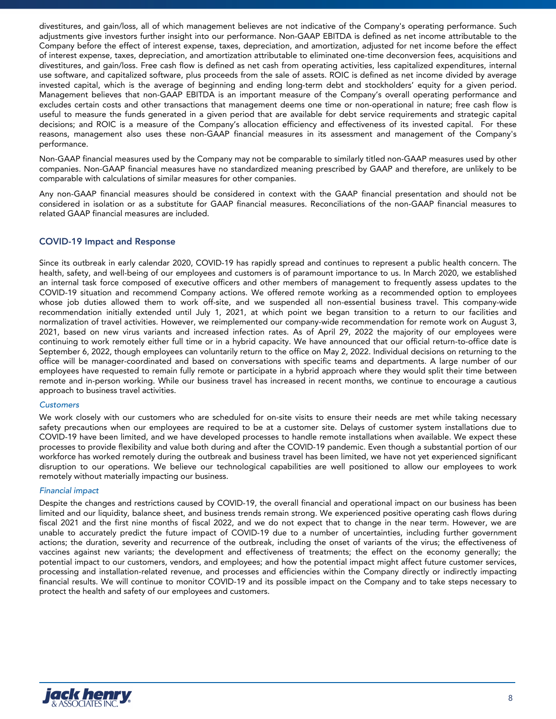divestitures, and gain/loss, all of which management believes are not indicative of the Company's operating performance. Such adjustments give investors further insight into our performance. Non-GAAP EBITDA is defined as net income attributable to the Company before the effect of interest expense, taxes, depreciation, and amortization, adjusted for net income before the effect of interest expense, taxes, depreciation, and amortization attributable to eliminated one-time deconversion fees, acquisitions and divestitures, and gain/loss. Free cash flow is defined as net cash from operating activities, less capitalized expenditures, internal use software, and capitalized software, plus proceeds from the sale of assets. ROIC is defined as net income divided by average invested capital, which is the average of beginning and ending long-term debt and stockholders' equity for a given period. Management believes that non-GAAP EBITDA is an important measure of the Company's overall operating performance and excludes certain costs and other transactions that management deems one time or non-operational in nature; free cash flow is useful to measure the funds generated in a given period that are available for debt service requirements and strategic capital decisions; and ROIC is a measure of the Company's allocation efficiency and effectiveness of its invested capital. For these reasons, management also uses these non-GAAP financial measures in its assessment and management of the Company's performance.

Non-GAAP financial measures used by the Company may not be comparable to similarly titled non-GAAP measures used by other companies. Non-GAAP financial measures have no standardized meaning prescribed by GAAP and therefore, are unlikely to be comparable with calculations of similar measures for other companies.

Any non-GAAP financial measures should be considered in context with the GAAP financial presentation and should not be considered in isolation or as a substitute for GAAP financial measures. Reconciliations of the non-GAAP financial measures to related GAAP financial measures are included.

# **COVID-19 Impact and Response**

Since its outbreak in early calendar 2020, COVID-19 has rapidly spread and continues to represent a public health concern. The health, safety, and well-being of our employees and customers is of paramount importance to us. In March 2020, we established an internal task force composed of executive officers and other members of management to frequently assess updates to the COVID-19 situation and recommend Company actions. We offered remote working as a recommended option to employees whose job duties allowed them to work off-site, and we suspended all non-essential business travel. This company-wide recommendation initially extended until July 1, 2021, at which point we began transition to a return to our facilities and normalization of travel activities. However, we reimplemented our company-wide recommendation for remote work on August 3, 2021, based on new virus variants and increased infection rates. As of April 29, 2022 the majority of our employees were continuing to work remotely either full time or in a hybrid capacity. We have announced that our official return-to-office date is September 6, 2022, though employees can voluntarily return to the office on May 2, 2022. Individual decisions on returning to the office will be manager-coordinated and based on conversations with specific teams and departments. A large number of our employees have requested to remain fully remote or participate in a hybrid approach where they would split their time between remote and in-person working. While our business travel has increased in recent months, we continue to encourage a cautious approach to business travel activities.

### *Customers*

We work closely with our customers who are scheduled for on-site visits to ensure their needs are met while taking necessary safety precautions when our employees are required to be at a customer site. Delays of customer system installations due to COVID-19 have been limited, and we have developed processes to handle remote installations when available. We expect these processes to provide flexibility and value both during and after the COVID-19 pandemic. Even though a substantial portion of our workforce has worked remotely during the outbreak and business travel has been limited, we have not yet experienced significant disruption to our operations. We believe our technological capabilities are well positioned to allow our employees to work remotely without materially impacting our business.

### *Financial impact*

Despite the changes and restrictions caused by COVID-19, the overall financial and operational impact on our business has been limited and our liquidity, balance sheet, and business trends remain strong. We experienced positive operating cash flows during fiscal 2021 and the first nine months of fiscal 2022, and we do not expect that to change in the near term. However, we are unable to accurately predict the future impact of COVID-19 due to a number of uncertainties, including further government actions; the duration, severity and recurrence of the outbreak, including the onset of variants of the virus; the effectiveness of vaccines against new variants; the development and effectiveness of treatments; the effect on the economy generally; the potential impact to our customers, vendors, and employees; and how the potential impact might affect future customer services, processing and installation-related revenue, and processes and efficiencies within the Company directly or indirectly impacting financial results. We will continue to monitor COVID-19 and its possible impact on the Company and to take steps necessary to protect the health and safety of our employees and customers.

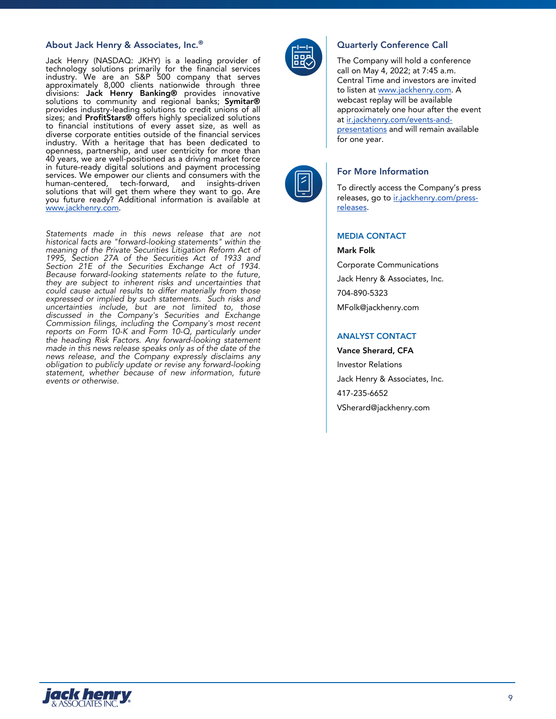### **About Jack Henry & Associates, Inc.® Quarterly Conference Call**

Jack Henry (NASDAQ: JKHY) is a leading provider of technology solutions primarily for the financial services industry. We are an S&P 500 company that serves approximately 8,000 clients nationwide through three divisions: **Jack Henry Banking®** provides innovative solutions to community and regional banks; **Symitar®** provides industry-leading solutions to credit unions of all sizes; and **ProfitStars®** offers highly specialized solutions to financial institutions of every asset size, as well as diverse corporate entities outside of the financial services industry. With a heritage that has been dedicated to openness, partnership, and user centricity for more than 40 years, we are well-positioned as a driving market force in future-ready digital solutions and payment processing services. We empower our clients and consumers with the human-centered, tech-forward, and insights-driven solutions that will get them where they want to go. Are you future ready? Additional information is available at www.jackhenry.com.

*Statements made in this news release that are not historical facts are "forward-looking statements" within the meaning of the Private Securities Litigation Reform Act of 1995, Section 27A of the Securities Act of 1933 and Section 21E of the Securities Exchange Act of 1934. Because forward-looking statements relate to the future, they are subject to inherent risks and uncertainties that could cause actual results to differ materially from those expressed or implied by such statements. Such risks and uncertainties include, but are not limited to, those discussed in the Company's Securities and Exchange Commission filings, including the Company's most recent reports on Form 10-K and Form 10-Q, particularly under the heading Risk Factors. Any forward-looking statement made in this news release speaks only as of the date of the news release, and the Company expressly disclaims any obligation to publicly update or revise any forward-looking statement, whether because of new information, future events or otherwise.*



The Company will hold a conference call on May 4, 2022; at 7:45 a.m. Central Time and investors are invited to listen at www.jackhenry.com. A webcast replay will be available approximately one hour after the event at ir.jackhenry.com/events-andpresentations and will remain available for one year.



### **For More Information**

To directly access the Company's press releases, go to ir.jackhenry.com/pressreleases.

### **MEDIA CONTACT**

**Mark Folk** Corporate Communications Jack Henry & Associates, Inc. 704-890-5323 MFolk@jackhenry.com

# **ANALYST CONTACT**

**Vance Sherard, CFA** Investor Relations Jack Henry & Associates, Inc. 417-235-6652 VSherard@jackhenry.com

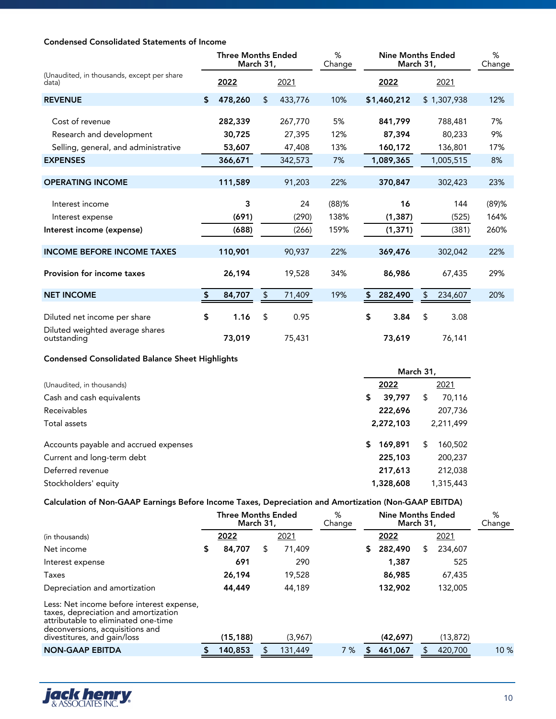# **Condensed Consolidated Statements of Income**

|                                                                 | <b>Three Months Ended</b><br>March 31, |    |                   | %<br>Change | <b>Nine Months Ended</b><br>March 31, |                   |     |                   | %<br>Change |
|-----------------------------------------------------------------|----------------------------------------|----|-------------------|-------------|---------------------------------------|-------------------|-----|-------------------|-------------|
| (Unaudited, in thousands, except per share<br>data)             | 2022                                   |    | 2021              |             |                                       | 2022              |     | 2021              |             |
| <b>REVENUE</b>                                                  | \$<br>478,260                          | \$ | 433,776           | 10%         |                                       | \$1,460,212       |     | \$1,307,938       | 12%         |
| Cost of revenue<br>Research and development                     | 282,339<br>30,725                      |    | 267,770<br>27,395 | 5%<br>12%   |                                       | 841,799<br>87,394 |     | 788,481<br>80,233 | 7%<br>9%    |
| Selling, general, and administrative                            | 53,607                                 |    | 47,408            | 13%         |                                       | 160,172           |     | 136,801           | 17%         |
| <b>EXPENSES</b>                                                 | 366,671                                |    | 342,573           | 7%          |                                       | 1,089,365         |     | 1,005,515         | 8%          |
| <b>OPERATING INCOME</b>                                         | 111,589                                |    | 91,203            | 22%         |                                       | 370,847           |     | 302,423           | 23%         |
| Interest income                                                 | 3                                      |    | 24                | $(88)$ %    |                                       | 16                |     | 144               | $(89)$ %    |
| Interest expense                                                | (691)                                  |    | (290)             | 138%        |                                       | (1, 387)          |     | (525)             | 164%        |
| Interest income (expense)                                       | (688)                                  |    | (266)             | 159%        |                                       | (1, 371)          |     | (381)             | 260%        |
| <b>INCOME BEFORE INCOME TAXES</b>                               | 110,901                                |    | 90,937            | 22%         |                                       | 369,476           |     | 302,042           | 22%         |
| <b>Provision for income taxes</b>                               | 26,194                                 |    | 19,528            | 34%         |                                       | 86,986            |     | 67,435            | 29%         |
| <b>NET INCOME</b>                                               | \$<br>84,707                           | \$ | 71,409            | 19%         | \$                                    | 282,490           | \$. | 234,607           | 20%         |
| Diluted net income per share<br>Diluted weighted average shares | \$<br>1.16                             | \$ | 0.95              |             | \$                                    | 3.84              | \$  | 3.08              |             |
| outstanding                                                     | 73,019                                 |    | 75,431            |             |                                       | 73,619            |     | 76,141            |             |

# **Condensed Consolidated Balance Sheet Highlights**

|                                       | March 31,     |              |  |  |  |  |  |  |
|---------------------------------------|---------------|--------------|--|--|--|--|--|--|
| (Unaudited, in thousands)             | 2022          | 2021         |  |  |  |  |  |  |
| Cash and cash equivalents             | 39,797<br>\$  | 70,116<br>S  |  |  |  |  |  |  |
| Receivables                           | 222,696       | 207,736      |  |  |  |  |  |  |
| Total assets                          | 2,272,103     | 2,211,499    |  |  |  |  |  |  |
| Accounts payable and accrued expenses | 169,891<br>\$ | 160,502<br>S |  |  |  |  |  |  |
| Current and long-term debt            | 225,103       | 200,237      |  |  |  |  |  |  |
| Deferred revenue                      | 217,613       | 212,038      |  |  |  |  |  |  |
| Stockholders' equity                  | 1,328,608     | 1,315,443    |  |  |  |  |  |  |

# **Calculation of Non-GAAP Earnings Before Income Taxes, Depreciation and Amortization (Non-GAAP EBITDA)**

|                                                                                                                                                                                            |    | <b>Three Months Ended</b><br><b>March 31,</b> |   | %<br>Change |     | <b>Nine Months Ended</b><br><b>March 31,</b> |          |   | %<br>Change |      |
|--------------------------------------------------------------------------------------------------------------------------------------------------------------------------------------------|----|-----------------------------------------------|---|-------------|-----|----------------------------------------------|----------|---|-------------|------|
| (in thousands)                                                                                                                                                                             |    | 2022                                          |   | 2021        |     |                                              | 2022     |   | 2021        |      |
| Net income                                                                                                                                                                                 | S. | 84,707                                        | S | 71,409      |     | S.                                           | 282,490  | S | 234,607     |      |
| Interest expense                                                                                                                                                                           |    | 691                                           |   | 290         |     |                                              | 1,387    |   | 525         |      |
| Taxes                                                                                                                                                                                      |    | 26,194                                        |   | 19,528      |     |                                              | 86,985   |   | 67,435      |      |
| Depreciation and amortization                                                                                                                                                              |    | 44,449                                        |   | 44,189      |     |                                              | 132,902  |   | 132,005     |      |
| Less: Net income before interest expense,<br>taxes, depreciation and amortization<br>attributable to eliminated one-time<br>deconversions, acquisitions and<br>divestitures, and gain/loss |    | (15, 188)                                     |   | (3,967)     |     |                                              | (42,697) |   | (13, 872)   |      |
| <b>NON-GAAP EBITDA</b>                                                                                                                                                                     |    | 140,853                                       |   | 131,449     | 7 % |                                              | 461,067  |   | 420,700     | 10 % |